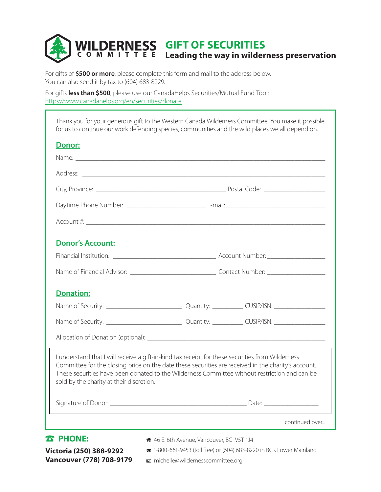## **WILDERNESS GIFT OF SECURITIES**<br> **COMMITTEE** Leading the way in wilder **Leading the way in wilderness preservation**

For gifts of **\$500 or more**, please complete this form and mail to the address below. You can also send it by fax to (604) 683-8229.

For gifts **less than \$500**, please use our CanadaHelps Securities/Mutual Fund Tool: <https://www.canadahelps.org/en/securities/donate>

| for us to continue our work defending species, communities and the wild places we all depend on.                                                                                                                                                                                                                                                     |                                                                                                                                                                                                                               |                |
|------------------------------------------------------------------------------------------------------------------------------------------------------------------------------------------------------------------------------------------------------------------------------------------------------------------------------------------------------|-------------------------------------------------------------------------------------------------------------------------------------------------------------------------------------------------------------------------------|----------------|
| <b>Donor:</b>                                                                                                                                                                                                                                                                                                                                        |                                                                                                                                                                                                                               |                |
|                                                                                                                                                                                                                                                                                                                                                      |                                                                                                                                                                                                                               |                |
|                                                                                                                                                                                                                                                                                                                                                      |                                                                                                                                                                                                                               |                |
|                                                                                                                                                                                                                                                                                                                                                      |                                                                                                                                                                                                                               |                |
|                                                                                                                                                                                                                                                                                                                                                      |                                                                                                                                                                                                                               |                |
|                                                                                                                                                                                                                                                                                                                                                      |                                                                                                                                                                                                                               |                |
| <b>Donor's Account:</b>                                                                                                                                                                                                                                                                                                                              |                                                                                                                                                                                                                               |                |
|                                                                                                                                                                                                                                                                                                                                                      |                                                                                                                                                                                                                               |                |
|                                                                                                                                                                                                                                                                                                                                                      |                                                                                                                                                                                                                               |                |
| <b>Donation:</b>                                                                                                                                                                                                                                                                                                                                     |                                                                                                                                                                                                                               |                |
|                                                                                                                                                                                                                                                                                                                                                      |                                                                                                                                                                                                                               |                |
|                                                                                                                                                                                                                                                                                                                                                      |                                                                                                                                                                                                                               |                |
|                                                                                                                                                                                                                                                                                                                                                      |                                                                                                                                                                                                                               |                |
| I understand that I will receive a gift-in-kind tax receipt for these securities from Wilderness<br>Committee for the closing price on the date these securities are received in the charity's account.<br>These securities have been donated to the Wilderness Committee without restriction and can be<br>sold by the charity at their discretion. |                                                                                                                                                                                                                               |                |
|                                                                                                                                                                                                                                                                                                                                                      | Date: and the contract of the contract of the contract of the contract of the contract of the contract of the contract of the contract of the contract of the contract of the contract of the contract of the contract of the |                |
|                                                                                                                                                                                                                                                                                                                                                      |                                                                                                                                                                                                                               | continued over |

## **Victoria (250) 388-9292 Vancouver (778) 708-9179**

46 E. 6th Avenue, Vancouver, BC V5T 1J4

1-800-661-9453 (toll free) or (604) 683-8220 in BC's Lower Mainland michelle@wildernesscommittee.org